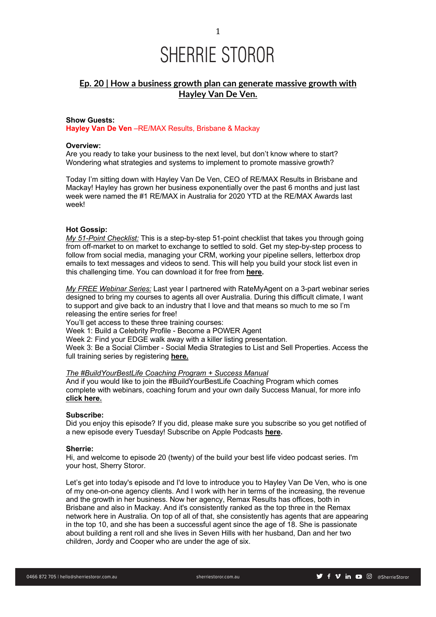### **Ep. 20 | How a business growth plan can generate massive growth with Hayley Van De Ven.**

### **Show Guests:**

**Hayley Van De Ven** –RE/MAX Results, Brisbane & Mackay

### **Overview:**

Are you ready to take your business to the next level, but don't know where to start? Wondering what strategies and systems to implement to promote massive growth?

Today I'm sitting down with Hayley Van De Ven, CEO of RE/MAX Results in Brisbane and Mackay! Hayley has grown her business exponentially over the past 6 months and just last week were named the #1 RE/MAX in Australia for 2020 YTD at the RE/MAX Awards last week!

### **Hot Gossip:**

*My 51-Point Checklist:* This is a step-by-step 51-point checklist that takes you through going from off-market to on market to exchange to settled to sold. Get my step-by-step process to follow from social media, managing your CRM, working your pipeline sellers, letterbox drop emails to text messages and videos to send. This will help you build your stock list even in this challenging time. You can download it for free from **here.**

*My FREE Webinar Series:* Last year I partnered with RateMyAgent on a 3-part webinar series designed to bring my courses to agents all over Australia. During this difficult climate, I want to support and give back to an industry that I love and that means so much to me so I'm releasing the entire series for free!

You'll get access to these three training courses:

Week 1: Build a Celebrity Profile - Become a POWER Agent

Week 2: Find your EDGE walk away with a killer listing presentation.

Week 3: Be a Social Climber - Social Media Strategies to List and Sell Properties. Access the full training series by registering **here.**

### *The #BuildYourBestLife Coaching Program + Success Manual*

And if you would like to join the #BuildYourBestLife Coaching Program which comes complete with webinars, coaching forum and your own daily Success Manual, for more info **click here.**

### **Subscribe:**

Did you enjoy this episode? If you did, please make sure you subscribe so you get notified of a new episode every Tuesday! Subscribe on Apple Podcasts **here.**

### **Sherrie:**

Hi, and welcome to episode 20 (twenty) of the build your best life video podcast series. I'm your host, Sherry Storor.

Let's get into today's episode and I'd love to introduce you to Hayley Van De Ven, who is one of my one-on-one agency clients. And I work with her in terms of the increasing, the revenue and the growth in her business. Now her agency, Remax Results has offices, both in Brisbane and also in Mackay. And it's consistently ranked as the top three in the Remax network here in Australia. On top of all of that, she consistently has agents that are appearing in the top 10, and she has been a successful agent since the age of 18. She is passionate about building a rent roll and she lives in Seven Hills with her husband, Dan and her two children, Jordy and Cooper who are under the age of six.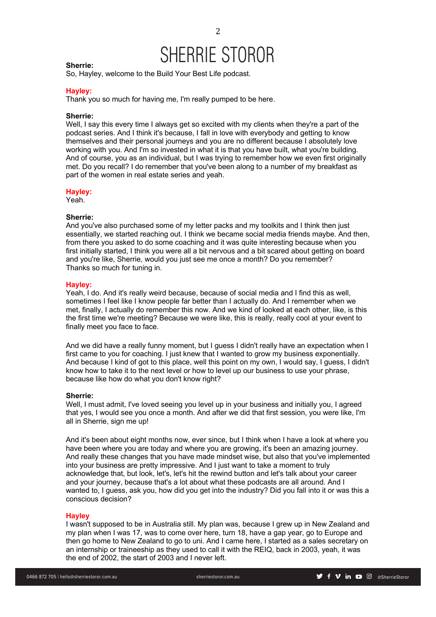2

### **Sherrie:**

So, Hayley, welcome to the Build Your Best Life podcast.

### **Hayley:**

Thank you so much for having me, I'm really pumped to be here.

### **Sherrie:**

Well, I say this every time I always get so excited with my clients when they're a part of the podcast series. And I think it's because, I fall in love with everybody and getting to know themselves and their personal journeys and you are no different because I absolutely love working with you. And I'm so invested in what it is that you have built, what you're building. And of course, you as an individual, but I was trying to remember how we even first originally met. Do you recall? I do remember that you've been along to a number of my breakfast as part of the women in real estate series and yeah.

#### **Hayley:**

Yeah.

### **Sherrie:**

And you've also purchased some of my letter packs and my toolkits and I think then just essentially, we started reaching out. I think we became social media friends maybe. And then, from there you asked to do some coaching and it was quite interesting because when you first initially started, I think you were all a bit nervous and a bit scared about getting on board and you're like, Sherrie, would you just see me once a month? Do you remember? Thanks so much for tuning in.

### **Hayley:**

Yeah, I do. And it's really weird because, because of social media and I find this as well, sometimes I feel like I know people far better than I actually do. And I remember when we met, finally, I actually do remember this now. And we kind of looked at each other, like, is this the first time we're meeting? Because we were like, this is really, really cool at your event to finally meet you face to face.

And we did have a really funny moment, but I quess I didn't really have an expectation when I first came to you for coaching. I just knew that I wanted to grow my business exponentially. And because I kind of got to this place, well this point on my own, I would say, I guess, I didn't know how to take it to the next level or how to level up our business to use your phrase, because like how do what you don't know right?

### **Sherrie:**

Well, I must admit, I've loved seeing you level up in your business and initially you, I agreed that yes, I would see you once a month. And after we did that first session, you were like, I'm all in Sherrie, sign me up!

And it's been about eight months now, ever since, but I think when I have a look at where you have been where you are today and where you are growing, it's been an amazing journey. And really these changes that you have made mindset wise, but also that you've implemented into your business are pretty impressive. And I just want to take a moment to truly acknowledge that, but look, let's, let's hit the rewind button and let's talk about your career and your journey, because that's a lot about what these podcasts are all around. And I wanted to, I guess, ask you, how did you get into the industry? Did you fall into it or was this a conscious decision?

### **Hayley**

I wasn't supposed to be in Australia still. My plan was, because I grew up in New Zealand and my plan when I was 17, was to come over here, turn 18, have a gap year, go to Europe and then go home to New Zealand to go to uni. And I came here, I started as a sales secretary on an internship or traineeship as they used to call it with the REIQ, back in 2003, yeah, it was the end of 2002, the start of 2003 and I never left.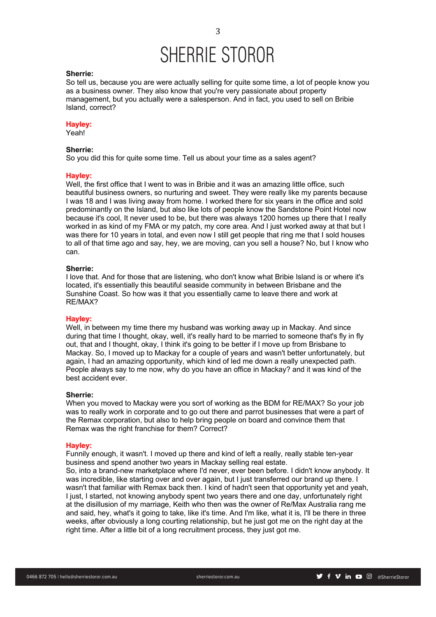### **Sherrie:**

So tell us, because you are were actually selling for quite some time, a lot of people know you as a business owner. They also know that you're very passionate about property management, but you actually were a salesperson. And in fact, you used to sell on Bribie Island, correct?

### **Hayley:**

Yeah!

### **Sherrie:**

So you did this for quite some time. Tell us about your time as a sales agent?

### **Hayley:**

Well, the first office that I went to was in Bribie and it was an amazing little office, such beautiful business owners, so nurturing and sweet. They were really like my parents because I was 18 and I was living away from home. I worked there for six years in the office and sold predominantly on the Island, but also like lots of people know the Sandstone Point Hotel now because it's cool, It never used to be, but there was always 1200 homes up there that I really worked in as kind of my FMA or my patch, my core area. And I just worked away at that but I was there for 10 years in total, and even now I still get people that ring me that I sold houses to all of that time ago and say, hey, we are moving, can you sell a house? No, but I know who can.

### **Sherrie:**

I love that. And for those that are listening, who don't know what Bribie Island is or where it's located, it's essentially this beautiful seaside community in between Brisbane and the Sunshine Coast. So how was it that you essentially came to leave there and work at RE/MAX?

### **Hayley:**

Well, in between my time there my husband was working away up in Mackay. And since during that time I thought, okay, well, it's really hard to be married to someone that's fly in fly out, that and I thought, okay, I think it's going to be better if I move up from Brisbane to Mackay. So, I moved up to Mackay for a couple of years and wasn't better unfortunately, but again, I had an amazing opportunity, which kind of led me down a really unexpected path. People always say to me now, why do you have an office in Mackay? and it was kind of the best accident ever.

#### **Sherrie:**

When you moved to Mackay were you sort of working as the BDM for RE/MAX? So your job was to really work in corporate and to go out there and parrot businesses that were a part of the Remax corporation, but also to help bring people on board and convince them that Remax was the right franchise for them? Correct?

#### **Hayley:**

Funnily enough, it wasn't. I moved up there and kind of left a really, really stable ten-year business and spend another two years in Mackay selling real estate.

So, into a brand-new marketplace where I'd never, ever been before. I didn't know anybody. It was incredible, like starting over and over again, but I just transferred our brand up there. I wasn't that familiar with Remax back then. I kind of hadn't seen that opportunity yet and yeah, I just, I started, not knowing anybody spent two years there and one day, unfortunately right at the disillusion of my marriage, Keith who then was the owner of Re/Max Australia rang me and said, hey, what's it going to take, like it's time. And I'm like, what it is, I'll be there in three weeks, after obviously a long courting relationship, but he just got me on the right day at the right time. After a little bit of a long recruitment process, they just got me.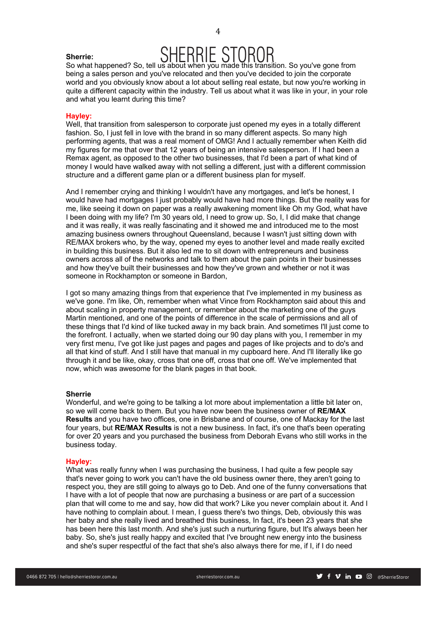# SHERRIE STOROR So what happened? So, tell us about when you made this transition. So you've gone from

being a sales person and you've relocated and then you've decided to join the corporate world and you obviously know about a lot about selling real estate, but now you're working in quite a different capacity within the industry. Tell us about what it was like in your, in your role and what you learnt during this time?

### **Hayley:**

**Sherrie:**

Well, that transition from salesperson to corporate just opened my eyes in a totally different fashion. So, I just fell in love with the brand in so many different aspects. So many high performing agents, that was a real moment of OMG! And I actually remember when Keith did my figures for me that over that 12 years of being an intensive salesperson. If I had been a Remax agent, as opposed to the other two businesses, that I'd been a part of what kind of money I would have walked away with not selling a different, just with a different commission structure and a different game plan or a different business plan for myself.

And I remember crying and thinking I wouldn't have any mortgages, and let's be honest, I would have had mortgages I just probably would have had more things. But the reality was for me, like seeing it down on paper was a really awakening moment like Oh my God, what have I been doing with my life? I'm 30 years old, I need to grow up. So, I, I did make that change and it was really, it was really fascinating and it showed me and introduced me to the most amazing business owners throughout Queensland, because I wasn't just sitting down with RE/MAX brokers who, by the way, opened my eyes to another level and made really excited in building this business. But it also led me to sit down with entrepreneurs and business owners across all of the networks and talk to them about the pain points in their businesses and how they've built their businesses and how they've grown and whether or not it was someone in Rockhampton or someone in Bardon,

I got so many amazing things from that experience that I've implemented in my business as we've gone. I'm like, Oh, remember when what Vince from Rockhampton said about this and about scaling in property management, or remember about the marketing one of the guys Martin mentioned, and one of the points of difference in the scale of permissions and all of these things that I'd kind of like tucked away in my back brain. And sometimes I'll just come to the forefront. I actually, when we started doing our 90 day plans with you, I remember in my very first menu, I've got like just pages and pages and pages of like projects and to do's and all that kind of stuff. And I still have that manual in my cupboard here. And I'll literally like go through it and be like, okay, cross that one off, cross that one off. We've implemented that now, which was awesome for the blank pages in that book.

### **Sherrie**

Wonderful, and we're going to be talking a lot more about implementation a little bit later on, so we will come back to them. But you have now been the business owner of **RE/MAX Results** and you have two offices, one in Brisbane and of course, one of Mackay for the last four years, but **RE/MAX Results** is not a new business. In fact, it's one that's been operating for over 20 years and you purchased the business from Deborah Evans who still works in the business today.

### **Hayley:**

What was really funny when I was purchasing the business, I had quite a few people say that's never going to work you can't have the old business owner there, they aren't going to respect you, they are still going to always go to Deb. And one of the funny conversations that I have with a lot of people that now are purchasing a business or are part of a succession plan that will come to me and say, how did that work? Like you never complain about it. And I have nothing to complain about. I mean, I guess there's two things, Deb, obviously this was her baby and she really lived and breathed this business, In fact, it's been 23 years that she has been here this last month. And she's just such a nurturing figure, but It's always been her baby. So, she's just really happy and excited that I've brought new energy into the business and she's super respectful of the fact that she's also always there for me, if I, if I do need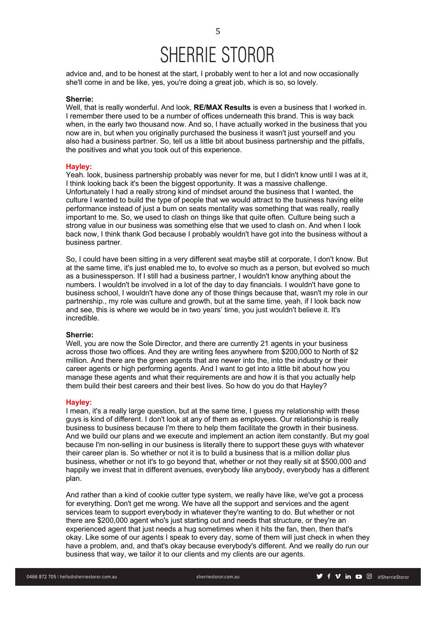advice and, and to be honest at the start, I probably went to her a lot and now occasionally she'll come in and be like, yes, you're doing a great job, which is so, so lovely.

#### **Sherrie:**

Well, that is really wonderful. And look, **RE/MAX Results** is even a business that I worked in. I remember there used to be a number of offices underneath this brand. This is way back when, in the early two thousand now. And so, I have actually worked in the business that you now are in, but when you originally purchased the business it wasn't just yourself and you also had a business partner. So, tell us a little bit about business partnership and the pitfalls, the positives and what you took out of this experience.

### **Hayley:**

Yeah. look, business partnership probably was never for me, but I didn't know until I was at it, I think looking back it's been the biggest opportunity. It was a massive challenge. Unfortunately I had a really strong kind of mindset around the business that I wanted, the culture I wanted to build the type of people that we would attract to the business having elite performance instead of just a bum on seats mentality was something that was really, really important to me. So, we used to clash on things like that quite often. Culture being such a strong value in our business was something else that we used to clash on. And when I look back now, I think thank God because I probably wouldn't have got into the business without a business partner.

So, I could have been sitting in a very different seat maybe still at corporate, I don't know. But at the same time, it's just enabled me to, to evolve so much as a person, but evolved so much as a businessperson. If I still had a business partner, I wouldn't know anything about the numbers. I wouldn't be involved in a lot of the day to day financials. I wouldn't have gone to business school, I wouldn't have done any of those things because that, wasn't my role in our partnership., my role was culture and growth, but at the same time, yeah, if I look back now and see, this is where we would be in two years' time, you just wouldn't believe it. It's incredible.

### **Sherrie:**

Well, you are now the Sole Director, and there are currently 21 agents in your business across those two offices. And they are writing fees anywhere from \$200,000 to North of \$2 million. And there are the green agents that are newer into the, into the industry or their career agents or high performing agents. And I want to get into a little bit about how you manage these agents and what their requirements are and how it is that you actually help them build their best careers and their best lives. So how do you do that Hayley?

### **Hayley:**

I mean, it's a really large question, but at the same time, I guess my relationship with these guys is kind of different. I don't look at any of them as employees. Our relationship is really business to business because I'm there to help them facilitate the growth in their business. And we build our plans and we execute and implement an action item constantly. But my goal because I'm non-selling in our business is literally there to support these guys with whatever their career plan is. So whether or not it is to build a business that is a million dollar plus business, whether or not it's to go beyond that, whether or not they really sit at \$500,000 and happily we invest that in different avenues, everybody like anybody, everybody has a different plan.

And rather than a kind of cookie cutter type system, we really have like, we've got a process for everything. Don't get me wrong. We have all the support and services and the agent services team to support everybody in whatever they're wanting to do. But whether or not there are \$200,000 agent who's just starting out and needs that structure, or they're an experienced agent that just needs a hug sometimes when it hits the fan, then, then that's okay. Like some of our agents I speak to every day, some of them will just check in when they have a problem, and, and that's okay because everybody's different. And we really do run our business that way, we tailor it to our clients and my clients are our agents.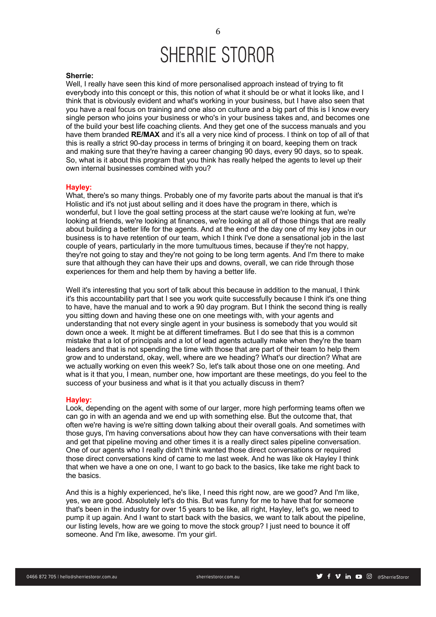### **Sherrie:**

Well, I really have seen this kind of more personalised approach instead of trying to fit everybody into this concept or this, this notion of what it should be or what it looks like, and I think that is obviously evident and what's working in your business, but I have also seen that you have a real focus on training and one also on culture and a big part of this is I know every single person who joins your business or who's in your business takes and, and becomes one of the build your best life coaching clients. And they get one of the success manuals and you have them branded **RE/MAX** and it's all a very nice kind of process. I think on top of all of that this is really a strict 90-day process in terms of bringing it on board, keeping them on track and making sure that they're having a career changing 90 days, every 90 days, so to speak. So, what is it about this program that you think has really helped the agents to level up their own internal businesses combined with you?

### **Hayley:**

What, there's so many things. Probably one of my favorite parts about the manual is that it's Holistic and it's not just about selling and it does have the program in there, which is wonderful, but I love the goal setting process at the start cause we're looking at fun, we're looking at friends, we're looking at finances, we're looking at all of those things that are really about building a better life for the agents. And at the end of the day one of my key jobs in our business is to have retention of our team, which I think I've done a sensational job in the last couple of years, particularly in the more tumultuous times, because if they're not happy, they're not going to stay and they're not going to be long term agents. And I'm there to make sure that although they can have their ups and downs, overall, we can ride through those experiences for them and help them by having a better life.

Well it's interesting that you sort of talk about this because in addition to the manual. I think it's this accountability part that I see you work quite successfully because I think it's one thing to have, have the manual and to work a 90 day program. But I think the second thing is really you sitting down and having these one on one meetings with, with your agents and understanding that not every single agent in your business is somebody that you would sit down once a week. It might be at different timeframes. But I do see that this is a common mistake that a lot of principals and a lot of lead agents actually make when they're the team leaders and that is not spending the time with those that are part of their team to help them grow and to understand, okay, well, where are we heading? What's our direction? What are we actually working on even this week? So, let's talk about those one on one meeting. And what is it that you, I mean, number one, how important are these meetings, do you feel to the success of your business and what is it that you actually discuss in them?

### **Hayley:**

Look, depending on the agent with some of our larger, more high performing teams often we can go in with an agenda and we end up with something else. But the outcome that, that often we're having is we're sitting down talking about their overall goals. And sometimes with those guys, I'm having conversations about how they can have conversations with their team and get that pipeline moving and other times it is a really direct sales pipeline conversation. One of our agents who I really didn't think wanted those direct conversations or required those direct conversations kind of came to me last week. And he was like ok Hayley I think that when we have a one on one, I want to go back to the basics, like take me right back to the basics.

And this is a highly experienced, he's like, I need this right now, are we good? And I'm like, yes, we are good. Absolutely let's do this. But was funny for me to have that for someone that's been in the industry for over 15 years to be like, all right, Hayley, let's go, we need to pump it up again. And I want to start back with the basics, we want to talk about the pipeline, our listing levels, how are we going to move the stock group? I just need to bounce it off someone. And I'm like, awesome. I'm your girl.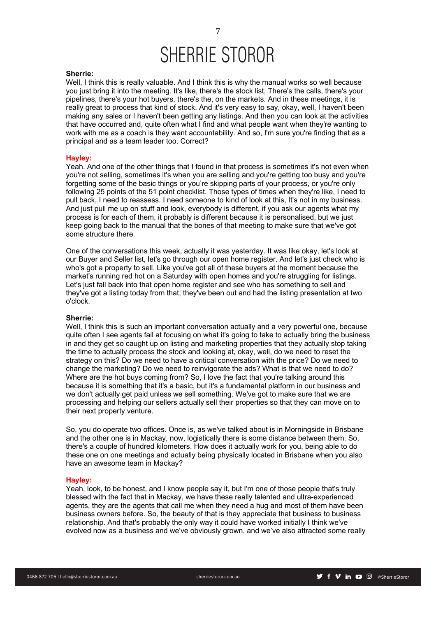### **Sherrie:**

Well, I think this is really valuable. And I think this is why the manual works so well because you just bring it into the meeting. It's like, there's the stock list, There's the calls, there's your pipelines, there's your hot buyers, there's the, on the markets. And in these meetings, it is really great to process that kind of stock. And it's very easy to say, okay, well, I haven't been making any sales or I haven't been getting any listings. And then you can look at the activities that have occurred and, quite often what I find and what people want when they're wanting to work with me as a coach is they want accountability. And so, I'm sure you're finding that as a principal and as a team leader too. Correct?

### **Hayley:**

Yeah. And one of the other things that I found in that process is sometimes it's not even when you're not selling, sometimes it's when you are selling and you're getting too busy and you're forgetting some of the basic things or you're skipping parts of your process, or you're only following 25 points of the 51 point checklist. Those types of times when they're like, I need to pull back, I need to reassess. I need someone to kind of look at this, It's not in my business. And just pull me up on stuff and look, everybody is different, if you ask our agents what my process is for each of them, it probably is different because it is personalised, but we just keep going back to the manual that the bones of that meeting to make sure that we've got some structure there.

One of the conversations this week, actually it was yesterday. It was like okay, let's look at our Buyer and Seller list, let's go through our open home register. And let's just check who is who's got a property to sell. Like you've got all of these buyers at the moment because the market's running red hot on a Saturday with open homes and you're struggling for listings. Let's just fall back into that open home register and see who has something to sell and they've got a listing today from that, they've been out and had the listing presentation at two o'clock.

### **Sherrie:**

Well, I think this is such an important conversation actually and a very powerful one, because quite often I see agents fail at focusing on what it's going to take to actually bring the business in and they get so caught up on listing and marketing properties that they actually stop taking the time to actually process the stock and looking at, okay, well, do we need to reset the strategy on this? Do we need to have a critical conversation with the price? Do we need to change the marketing? Do we need to reinvigorate the ads? What is that we need to do? Where are the hot buys coming from? So, I love the fact that you're talking around this because it is something that it's a basic, but it's a fundamental platform in our business and we don't actually get paid unless we sell something. We've got to make sure that we are processing and helping our sellers actually sell their properties so that they can move on to their next property venture.

So, you do operate two offices. Once is, as we've talked about is in Morningside in Brisbane and the other one is in Mackay, now, logistically there is some distance between them. So, there's a couple of hundred kilometers. How does it actually work for you, being able to do these one on one meetings and actually being physically located in Brisbane when you also have an awesome team in Mackay?

### **Hayley:**

Yeah, look, to be honest, and I know people say it, but I'm one of those people that's truly blessed with the fact that in Mackay, we have these really talented and ultra-experienced agents, they are the agents that call me when they need a hug and most of them have been business owners before. So, the beauty of that is they appreciate that business to business relationship. And that's probably the only way it could have worked initially I think we've evolved now as a business and we've obviously grown, and we've also attracted some really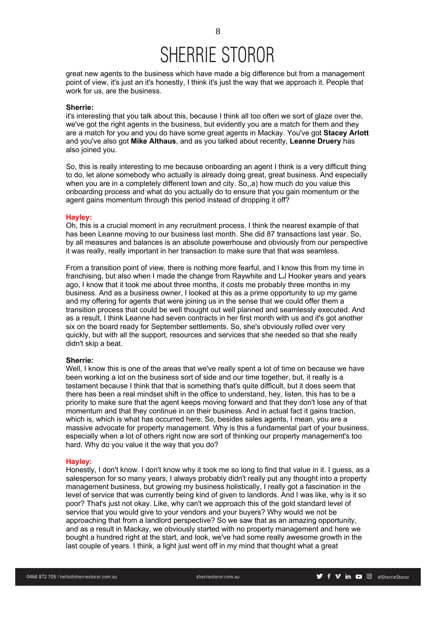great new agents to the business which have made a big difference but from a management point of view, it's just an it's honestly, I think it's just the way that we approach it. People that work for us, are the business.

### **Sherrie:**

it's interesting that you talk about this, because I think all too often we sort of glaze over the, we've got the right agents in the business, but evidently you are a match for them and they are a match for you and you do have some great agents in Mackay. You've got **Stacey Arlott** and you've also got **Mike Althaus**, and as you talked about recently, **Leanne Druery** has also joined you.

So, this is really interesting to me because onboarding an agent I think is a very difficult thing to do, let alone somebody who actually is already doing great, great business. And especially when you are in a completely different town and city. So<sub>n</sub>a) how much do you value this onboarding process and what do you actually do to ensure that you gain momentum or the agent gains momentum through this period instead of dropping it off?

### **Hayley:**

Oh, this is a crucial moment in any recruitment process. I think the nearest example of that has been Leanne moving to our business last month. She did 87 transactions last year. So, by all measures and balances is an absolute powerhouse and obviously from our perspective it was really, really important in her transaction to make sure that that was seamless.

From a transition point of view, there is nothing more fearful, and I know this from my time in franchising, but also when I made the change from Raywhite and LJ Hooker years and years ago, I know that it took me about three months, it costs me probably three months in my business. And as a business owner, I looked at this as a prime opportunity to up my game and my offering for agents that were joining us in the sense that we could offer them a transition process that could be well thought out well planned and seamlessly executed. And as a result, I think Leanne had seven contracts in her first month with us and it's got another six on the board ready for September settlements. So, she's obviously rolled over very quickly, but with all the support, resources and services that she needed so that she really didn't skip a beat.

### **Sherrie:**

Well, I know this is one of the areas that we've really spent a lot of time on because we have been working a lot on the business sort of side and our time together, but, it really is a testament because I think that that is something that's quite difficult, but it does seem that there has been a real mindset shift in the office to understand, hey, listen, this has to be a priority to make sure that the agent keeps moving forward and that they don't lose any of that momentum and that they continue in on their business. And in actual fact it gains traction, which is, which is what has occurred here. So, besides sales agents, I mean, you are a massive advocate for property management. Why is this a fundamental part of your business, especially when a lot of others right now are sort of thinking our property management's too hard. Why do you value it the way that you do?

#### **Hayley:**

Honestly, I don't know. I don't know why it took me so long to find that value in it. I guess, as a salesperson for so many years, I always probably didn't really put any thought into a property management business, but growing my business holistically, I really got a fascination in the level of service that was currently being kind of given to landlords. And I was like, why is it so poor? That's just not okay. Like, why can't we approach this of the gold standard level of service that you would give to your vendors and your buyers? Why would we not be approaching that from a landlord perspective? So we saw that as an amazing opportunity, and as a result in Mackay, we obviously started with no property management and here we bought a hundred right at the start, and look, we've had some really awesome growth in the last couple of years. I think, a light just went off in my mind that thought what a great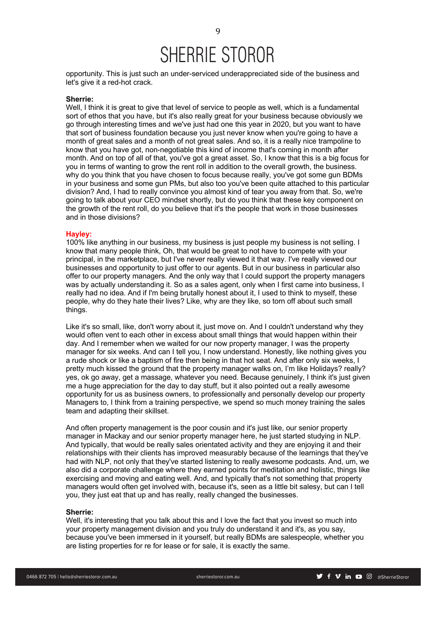opportunity. This is just such an under-serviced underappreciated side of the business and let's give it a red-hot crack.

### **Sherrie:**

Well, I think it is great to give that level of service to people as well, which is a fundamental sort of ethos that you have, but it's also really great for your business because obviously we go through interesting times and we've just had one this year in 2020, but you want to have that sort of business foundation because you just never know when you're going to have a month of great sales and a month of not great sales. And so, it is a really nice trampoline to know that you have got, non-negotiable this kind of income that's coming in month after month. And on top of all of that, you've got a great asset. So, I know that this is a big focus for you in terms of wanting to grow the rent roll in addition to the overall growth, the business. why do you think that you have chosen to focus because really, you've got some gun BDMs in your business and some gun PMs, but also too you've been quite attached to this particular division? And, I had to really convince you almost kind of tear you away from that. So, we're going to talk about your CEO mindset shortly, but do you think that these key component on the growth of the rent roll, do you believe that it's the people that work in those businesses and in those divisions?

#### **Hayley:**

100% like anything in our business, my business is just people my business is not selling. I know that many people think, Oh, that would be great to not have to compete with your principal, in the marketplace, but I've never really viewed it that way. I've really viewed our businesses and opportunity to just offer to our agents. But in our business in particular also offer to our property managers. And the only way that I could support the property managers was by actually understanding it. So as a sales agent, only when I first came into business, I really had no idea. And if I'm being brutally honest about it, I used to think to myself, these people, why do they hate their lives? Like, why are they like, so torn off about such small things.

Like it's so small, like, don't worry about it, just move on. And I couldn't understand why they would often vent to each other in excess about small things that would happen within their day. And I remember when we waited for our now property manager, I was the property manager for six weeks. And can I tell you, I now understand. Honestly, like nothing gives you a rude shock or like a baptism of fire then being in that hot seat. And after only six weeks, I pretty much kissed the ground that the property manager walks on, I'm like Holidays? really? yes, ok go away, get a massage, whatever you need. Because genuinely, I think it's just given me a huge appreciation for the day to day stuff, but it also pointed out a really awesome opportunity for us as business owners, to professionally and personally develop our property Managers to, I think from a training perspective, we spend so much money training the sales team and adapting their skillset.

And often property management is the poor cousin and it's just like, our senior property manager in Mackay and our senior property manager here, he just started studying in NLP. And typically, that would be really sales orientated activity and they are enjoying it and their relationships with their clients has improved measurably because of the learnings that they've had with NLP, not only that they've started listening to really awesome podcasts. And, um, we also did a corporate challenge where they earned points for meditation and holistic, things like exercising and moving and eating well. And, and typically that's not something that property managers would often get involved with, because it's, seen as a little bit salesy, but can I tell you, they just eat that up and has really, really changed the businesses.

### **Sherrie:**

Well, it's interesting that you talk about this and I love the fact that you invest so much into your property management division and you truly do understand it and it's, as you say, because you've been immersed in it yourself, but really BDMs are salespeople, whether you are listing properties for re for lease or for sale, it is exactly the same.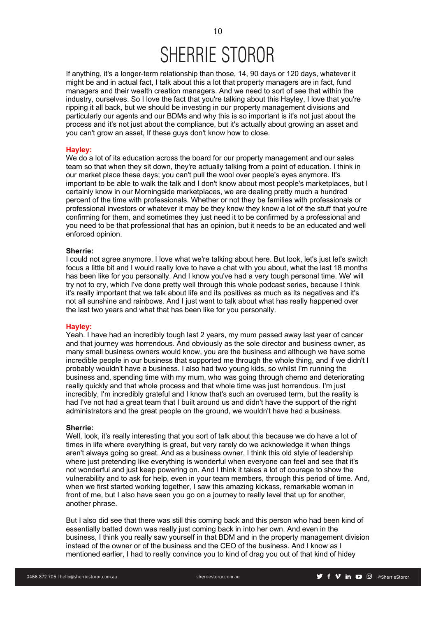If anything, it's a longer-term relationship than those, 14, 90 days or 120 days, whatever it might be and in actual fact, I talk about this a lot that property managers are in fact, fund managers and their wealth creation managers. And we need to sort of see that within the industry, ourselves. So I love the fact that you're talking about this Hayley, I love that you're ripping it all back, but we should be investing in our property management divisions and particularly our agents and our BDMs and why this is so important is it's not just about the process and it's not just about the compliance, but it's actually about growing an asset and you can't grow an asset, If these guys don't know how to close.

### **Hayley:**

We do a lot of its education across the board for our property management and our sales team so that when they sit down, they're actually talking from a point of education. I think in our market place these days; you can't pull the wool over people's eyes anymore. It's important to be able to walk the talk and I don't know about most people's marketplaces, but I certainly know in our Morningside marketplaces, we are dealing pretty much a hundred percent of the time with professionals. Whether or not they be families with professionals or professional investors or whatever it may be they know they know a lot of the stuff that you're confirming for them, and sometimes they just need it to be confirmed by a professional and you need to be that professional that has an opinion, but it needs to be an educated and well enforced opinion.

#### **Sherrie:**

I could not agree anymore. I love what we're talking about here. But look, let's just let's switch focus a little bit and I would really love to have a chat with you about, what the last 18 months has been like for you personally. And I know you've had a very tough personal time. We' will try not to cry, which I've done pretty well through this whole podcast series, because I think it's really important that we talk about life and its positives as much as its negatives and it's not all sunshine and rainbows. And I just want to talk about what has really happened over the last two years and what that has been like for you personally.

### **Hayley:**

Yeah. I have had an incredibly tough last 2 years, my mum passed away last year of cancer and that journey was horrendous. And obviously as the sole director and business owner, as many small business owners would know, you are the business and although we have some incredible people in our business that supported me through the whole thing, and if we didn't I probably wouldn't have a business. I also had two young kids, so whilst I'm running the business and, spending time with my mum, who was going through chemo and deteriorating really quickly and that whole process and that whole time was just horrendous. I'm just incredibly, I'm incredibly grateful and I know that's such an overused term, but the reality is had I've not had a great team that I built around us and didn't have the support of the right administrators and the great people on the ground, we wouldn't have had a business.

### **Sherrie:**

Well, look, it's really interesting that you sort of talk about this because we do have a lot of times in life where everything is great, but very rarely do we acknowledge it when things aren't always going so great. And as a business owner, I think this old style of leadership where just pretending like everything is wonderful when everyone can feel and see that it's not wonderful and just keep powering on. And I think it takes a lot of courage to show the vulnerability and to ask for help, even in your team members, through this period of time. And, when we first started working together, I saw this amazing kickass, remarkable woman in front of me, but I also have seen you go on a journey to really level that up for another, another phrase.

But I also did see that there was still this coming back and this person who had been kind of essentially batted down was really just coming back in into her own. And even in the business, I think you really saw yourself in that BDM and in the property management division instead of the owner or of the business and the CEO of the business. And I know as I mentioned earlier, I had to really convince you to kind of drag you out of that kind of hidey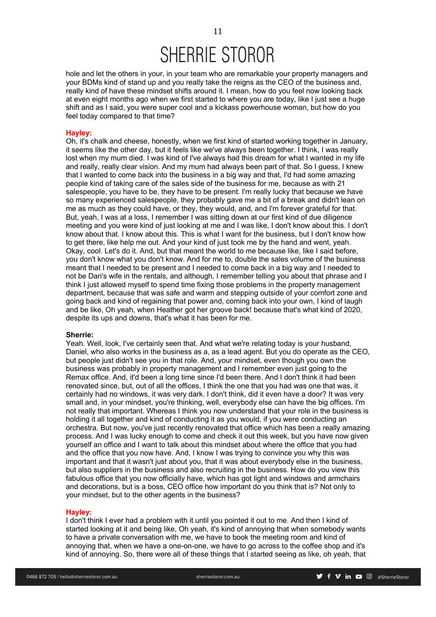hole and let the others in your, in your team who are remarkable your property managers and your BDMs kind of stand up and you really take the reigns as the CEO of the business and, really kind of have these mindset shifts around it. I mean, how do you feel now looking back at even eight months ago when we first started to where you are today, like I just see a huge shift and as I said, you were super cool and a kickass powerhouse woman, but how do you feel today compared to that time?

### **Hayley:**

Oh, it's chalk and cheese, honestly, when we first kind of started working together in January, it seems like the other day, but it feels like we've always been together. I think, I was really lost when my mum died. I was kind of I've always had this dream for what I wanted in my life and really, really clear vision. And my mum had always been part of that. So I guess, I knew that I wanted to come back into the business in a big way and that, I'd had some amazing people kind of taking care of the sales side of the business for me, because as with 21 salespeople, you have to be, they have to be present. I'm really lucky that because we have so many experienced salespeople, they probably gave me a bit of a break and didn't lean on me as much as they could have, or they, they would, and, and I'm forever grateful for that. But, yeah, I was at a loss, I remember I was sitting down at our first kind of due diligence meeting and you were kind of just looking at me and I was like, I don't know about this. I don't know about that. I know about this. This is what I want for the business, but I don't know how to get there, like help me out. And your kind of just took me by the hand and went, yeah. Okay, cool. Let's do it. And, but that meant the world to me because like, like I said before, you don't know what you don't know. And for me to, double the sales volume of the business meant that I needed to be present and I needed to come back in a big way and I needed to not be Dan's wife in the rentals, and although, I remember telling you about that phrase and I think I just allowed myself to spend time fixing those problems in the property management department, because that was safe and warm and stepping outside of your comfort zone and going back and kind of regaining that power and, coming back into your own, I kind of laugh and be like, Oh yeah, when Heather got her groove back! because that's what kind of 2020, despite its ups and downs, that's what it has been for me.

### **Sherrie:**

Yeah. Well, look, I've certainly seen that. And what we're relating today is your husband, Daniel, who also works in the business as a, as a lead agent. But you do operate as the CEO, but people just didn't see you in that role. And, your mindset, even though you own the business was probably in property management and I remember even just going to the Remax office. And, it'd been a long time since I'd been there. And I don't think it had been renovated since, but, out of all the offices, I think the one that you had was one that was, it certainly had no windows, it was very dark. I don't think, did it even have a door? It was very small and, in your mindset, you're thinking, well, everybody else can have the big offices. I'm not really that important. Whereas I think you now understand that your role in the business is holding it all together and kind of conducting it as you would, if you were conducting an orchestra. But now, you've just recently renovated that office which has been a really amazing process. And I was lucky enough to come and check it out this week, but you have now given yourself an office and I want to talk about this mindset about where the office that you had and the office that you now have. And, I know I was trying to convince you why this was important and that it wasn't just about you, that it was about everybody else in the business, but also suppliers in the business and also recruiting in the business. How do you view this fabulous office that you now officially have, which has got light and windows and armchairs and decorations, but is a boss, CEO office how important do you think that is? Not only to your mindset, but to the other agents in the business?

### **Hayley:**

I don't think I ever had a problem with it until you pointed it out to me. And then I kind of started looking at it and being like, Oh yeah, it's kind of annoying that when somebody wants to have a private conversation with me, we have to book the meeting room and kind of annoying that, when we have a one-on-one, we have to go across to the coffee shop and it's kind of annoying. So, there were all of these things that I started seeing as like, oh yeah, that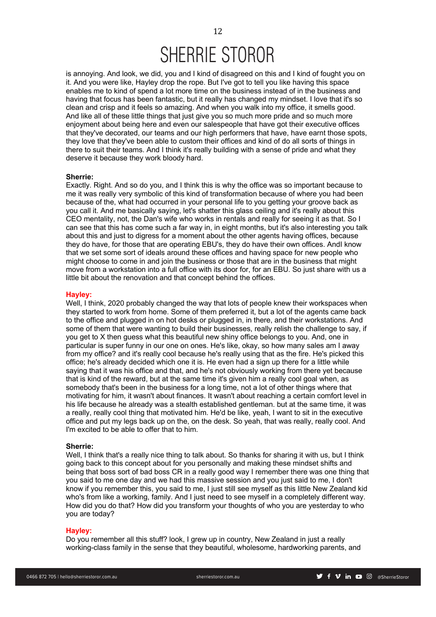is annoying. And look, we did, you and I kind of disagreed on this and I kind of fought you on it. And you were like, Hayley drop the rope. But I've got to tell you like having this space enables me to kind of spend a lot more time on the business instead of in the business and having that focus has been fantastic, but it really has changed my mindset. I love that it's so clean and crisp and it feels so amazing. And when you walk into my office, it smells good. And like all of these little things that just give you so much more pride and so much more enjoyment about being here and even our salespeople that have got their executive offices that they've decorated, our teams and our high performers that have, have earnt those spots, they love that they've been able to custom their offices and kind of do all sorts of things in there to suit their teams. And I think it's really building with a sense of pride and what they deserve it because they work bloody hard.

### **Sherrie:**

Exactly. Right. And so do you, and I think this is why the office was so important because to me it was really very symbolic of this kind of transformation because of where you had been because of the, what had occurred in your personal life to you getting your groove back as you call it. And me basically saying, let's shatter this glass ceiling and it's really about this CEO mentality, not, the Dan's wife who works in rentals and really for seeing it as that. So I can see that this has come such a far way in, in eight months, but it's also interesting you talk about this and just to digress for a moment about the other agents having offices, because they do have, for those that are operating EBU's, they do have their own offices. AndI know that we set some sort of ideals around these offices and having space for new people who might choose to come in and join the business or those that are in the business that might move from a workstation into a full office with its door for, for an EBU. So just share with us a little bit about the renovation and that concept behind the offices.

#### **Hayley:**

Well, I think, 2020 probably changed the way that lots of people knew their workspaces when they started to work from home. Some of them preferred it, but a lot of the agents came back to the office and plugged in on hot desks or plugged in, in there, and their workstations. And some of them that were wanting to build their businesses, really relish the challenge to say, if you get to X then guess what this beautiful new shiny office belongs to you. And, one in particular is super funny in our one on ones. He's like, okay, so how many sales am I away from my office? and it's really cool because he's really using that as the fire. He's picked this office; he's already decided which one it is. He even had a sign up there for a little while saying that it was his office and that, and he's not obviously working from there yet because that is kind of the reward, but at the same time it's given him a really cool goal when, as somebody that's been in the business for a long time, not a lot of other things where that motivating for him, it wasn't about finances. It wasn't about reaching a certain comfort level in his life because he already was a stealth established gentleman. but at the same time, it was a really, really cool thing that motivated him. He'd be like, yeah, I want to sit in the executive office and put my legs back up on the, on the desk. So yeah, that was really, really cool. And I'm excited to be able to offer that to him.

### **Sherrie:**

Well, I think that's a really nice thing to talk about. So thanks for sharing it with us, but I think going back to this concept about for you personally and making these mindset shifts and being that boss sort of bad boss CR in a really good way I remember there was one thing that you said to me one day and we had this massive session and you just said to me, I don't know if you remember this, you said to me, I just still see myself as this little New Zealand kid who's from like a working, family. And I just need to see myself in a completely different way. How did you do that? How did you transform your thoughts of who you are yesterday to who you are today?

### **Hayley:**

Do you remember all this stuff? look, I grew up in country, New Zealand in just a really working-class family in the sense that they beautiful, wholesome, hardworking parents, and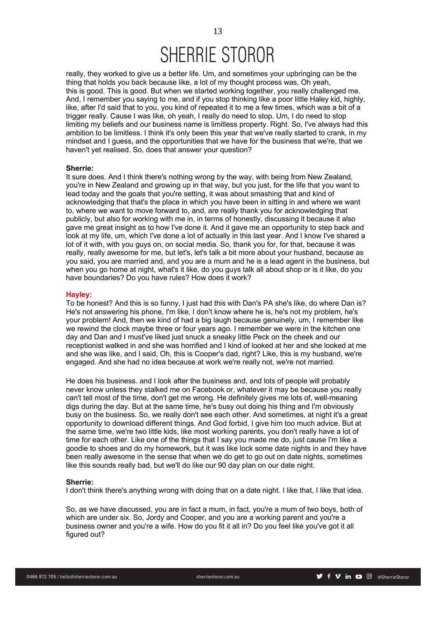really, they worked to give us a better life. Um, and sometimes your upbringing can be the thing that holds you back because like, a lot of my thought process was, Oh yeah, this is good. This is good. But when we started working together, you really challenged me. And, I remember you saying to me, and if you stop thinking like a poor little Haley kid, highly, like, after I'd said that to you, you kind of repeated it to me a few times, which was a bit of a trigger really. Cause I was like, oh yeah, I really do need to stop. Um, I do need to stop limiting my beliefs and our business name is limitless property. Right. So, I've always had this ambition to be limitless. I think it's only been this year that we've really started to crank, in my mindset and I guess, and the opportunities that we have for the business that we're, that we haven't yet realised. So, does that answer your question?

### **Sherrie:**

It sure does. And I think there's nothing wrong by the way, with being from New Zealand, you're in New Zealand and growing up in that way, but you just, for the life that you want to lead today and the goals that you're setting, it was about smashing that and kind of acknowledging that that's the place in which you have been in sitting in and where we want to, where we want to move forward to, and, are really thank you for acknowledging that publicly, but also for working with me in, in terms of honestly, discussing it because it also gave me great insight as to how I've done it. And it gave me an opportunity to step back and look at my life, um, which I've done a lot of actually in this last year. And I know I've shared a lot of it with, with you guys on, on social media. So, thank you for, for that, because it was really, really awesome for me, but let's, let's talk a bit more about your husband, because as you said, you are married and, and you are a mum and he is a lead agent in the business, but when you go home at night, what's it like, do you guys talk all about shop or is it like, do you have boundaries? Do you have rules? How does it work?

### **Hayley:**

To be honest? And this is so funny, I just had this with Dan's PA she's like, do where Dan is? He's not answering his phone, I'm like, I don't know where he is, he's not my problem, he's your problem! And, then we kind of had a big laugh because genuinely, um, I remember like we rewind the clock maybe three or four years ago. I remember we were in the kitchen one day and Dan and I must've liked just snuck a sneaky little Peck on the cheek and our receptionist walked in and she was horrified and I kind of looked at her and she looked at me and she was like, and I said, Oh, this is Cooper's dad, right? Like, this is my husband, we're engaged. And she had no idea because at work we're really not, we're not married.

He does his business. and I look after the business and, and lots of people will probably never know unless they stalked me on Facebook or, whatever it may be because you really can't tell most of the time, don't get me wrong. He definitely gives me lots of, well-meaning digs during the day. But at the same time, he's busy out doing his thing and I'm obviously busy on the business. So, we really don't see each other. And sometimes, at night it's a great opportunity to download different things. And God forbid, I give him too much advice. But at the same time, we're two little kids, like most working parents, you don't really have a lot of time for each other. Like one of the things that I say you made me do, just cause I'm like a goodie to shoes and do my homework, but it was like lock some date nights in and they have been really awesome in the sense that when we do get to go out on date nights, sometimes like this sounds really bad, but we'll do like our 90 day plan on our date night.

### **Sherrie:**

I don't think there's anything wrong with doing that on a date night. I like that, I like that idea.

So, as we have discussed, you are in fact a mum, in fact, you're a mum of two boys, both of which are under six. So, Jordy and Cooper, and you are a working parent and you're a business owner and you're a wife. How do you fit it all in? Do you feel like you've got it all figured out?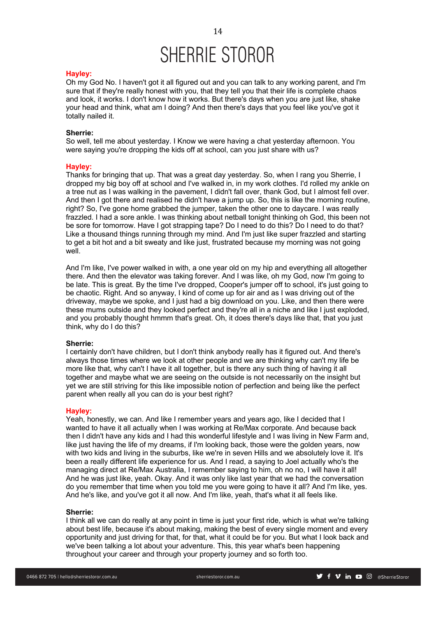### **Hayley:**

Oh my God No. I haven't got it all figured out and you can talk to any working parent, and I'm sure that if they're really honest with you, that they tell you that their life is complete chaos and look, it works. I don't know how it works. But there's days when you are just like, shake your head and think, what am I doing? And then there's days that you feel like you've got it totally nailed it.

### **Sherrie:**

So well, tell me about yesterday. I Know we were having a chat yesterday afternoon. You were saying you're dropping the kids off at school, can you just share with us?

### **Hayley:**

Thanks for bringing that up. That was a great day yesterday. So, when I rang you Sherrie, I dropped my big boy off at school and I've walked in, in my work clothes. I'd rolled my ankle on a tree nut as I was walking in the pavement, I didn't fall over, thank God, but I almost fell over. And then I got there and realised he didn't have a jump up. So, this is like the morning routine, right? So, I've gone home grabbed the jumper, taken the other one to daycare. I was really frazzled. I had a sore ankle. I was thinking about netball tonight thinking oh God, this been not be sore for tomorrow. Have I got strapping tape? Do I need to do this? Do I need to do that? Like a thousand things running through my mind. And I'm just like super frazzled and starting to get a bit hot and a bit sweaty and like just, frustrated because my morning was not going well.

And I'm like, I've power walked in with, a one year old on my hip and everything all altogether there. And then the elevator was taking forever. And I was like, oh my God, now I'm going to be late. This is great. By the time I've dropped, Cooper's jumper off to school, it's just going to be chaotic. Right. And so anyway, I kind of come up for air and as I was driving out of the driveway, maybe we spoke, and I just had a big download on you. Like, and then there were these mums outside and they looked perfect and they're all in a niche and like I just exploded, and you probably thought hmmm that's great. Oh, it does there's days like that, that you just think, why do I do this?

### **Sherrie:**

I certainly don't have children, but I don't think anybody really has it figured out. And there's always those times where we look at other people and we are thinking why can't my life be more like that, why can't I have it all together, but is there any such thing of having it all together and maybe what we are seeing on the outside is not necessarily on the insight but yet we are still striving for this like impossible notion of perfection and being like the perfect parent when really all you can do is your best right?

### **Hayley:**

Yeah, honestly, we can. And like I remember years and years ago, like I decided that I wanted to have it all actually when I was working at Re/Max corporate. And because back then I didn't have any kids and I had this wonderful lifestyle and I was living in New Farm and, like just having the life of my dreams, if I'm looking back, those were the golden years, now with two kids and living in the suburbs, like we're in seven Hills and we absolutely love it. It's been a really different life experience for us. And I read, a saying to Joel actually who's the managing direct at Re/Max Australia, I remember saying to him, oh no no, I will have it all! And he was just like, yeah. Okay. And it was only like last year that we had the conversation do you remember that time when you told me you were going to have it all? And I'm like, yes. And he's like, and you've got it all now. And I'm like, yeah, that's what it all feels like.

### **Sherrie:**

I think all we can do really at any point in time is just your first ride, which is what we're talking about best life, because it's about making, making the best of every single moment and every opportunity and just driving for that, for that, what it could be for you. But what I look back and we've been talking a lot about your adventure. This, this year what's been happening throughout your career and through your property journey and so forth too.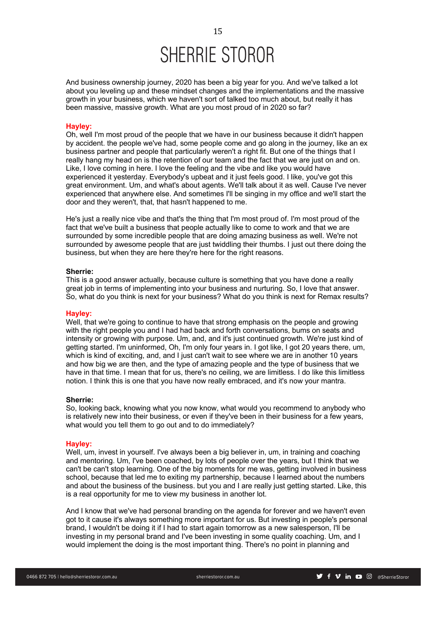And business ownership journey, 2020 has been a big year for you. And we've talked a lot about you leveling up and these mindset changes and the implementations and the massive growth in your business, which we haven't sort of talked too much about, but really it has been massive, massive growth. What are you most proud of in 2020 so far?

### **Hayley:**

Oh, well I'm most proud of the people that we have in our business because it didn't happen by accident. the people we've had, some people come and go along in the journey, like an ex business partner and people that particularly weren't a right fit. But one of the things that I really hang my head on is the retention of our team and the fact that we are just on and on. Like, I love coming in here. I love the feeling and the vibe and like you would have experienced it yesterday. Everybody's upbeat and it just feels good. I like, you've got this great environment. Um, and what's about agents. We'll talk about it as well. Cause I've never experienced that anywhere else. And sometimes I'll be singing in my office and we'll start the door and they weren't, that, that hasn't happened to me.

He's just a really nice vibe and that's the thing that I'm most proud of. I'm most proud of the fact that we've built a business that people actually like to come to work and that we are surrounded by some incredible people that are doing amazing business as well. We're not surrounded by awesome people that are just twiddling their thumbs. I just out there doing the business, but when they are here they're here for the right reasons.

### **Sherrie:**

This is a good answer actually, because culture is something that you have done a really great job in terms of implementing into your business and nurturing. So, I love that answer. So, what do you think is next for your business? What do you think is next for Remax results?

#### **Hayley:**

Well, that we're going to continue to have that strong emphasis on the people and growing with the right people you and I had had back and forth conversations, bums on seats and intensity or growing with purpose. Um, and, and it's just continued growth. We're just kind of getting started. I'm uninformed, Oh, I'm only four years in. I got like, I got 20 years there, um, which is kind of exciting, and, and I just can't wait to see where we are in another 10 years and how big we are then, and the type of amazing people and the type of business that we have in that time. I mean that for us, there's no ceiling, we are limitless. I do like this limitless notion. I think this is one that you have now really embraced, and it's now your mantra.

### **Sherrie:**

So, looking back, knowing what you now know, what would you recommend to anybody who is relatively new into their business, or even if they've been in their business for a few years, what would you tell them to go out and to do immediately?

#### **Hayley:**

Well, um, invest in yourself. I've always been a big believer in, um, in training and coaching and mentoring. Um, I've been coached, by lots of people over the years, but I think that we can't be can't stop learning. One of the big moments for me was, getting involved in business school, because that led me to exiting my partnership, because I learned about the numbers and about the business of the business. but you and I are really just getting started. Like, this is a real opportunity for me to view my business in another lot.

And I know that we've had personal branding on the agenda for forever and we haven't even got to it cause it's always something more important for us. But investing in people's personal brand, I wouldn't be doing it if I had to start again tomorrow as a new salesperson, I'll be investing in my personal brand and I've been investing in some quality coaching. Um, and I would implement the doing is the most important thing. There's no point in planning and